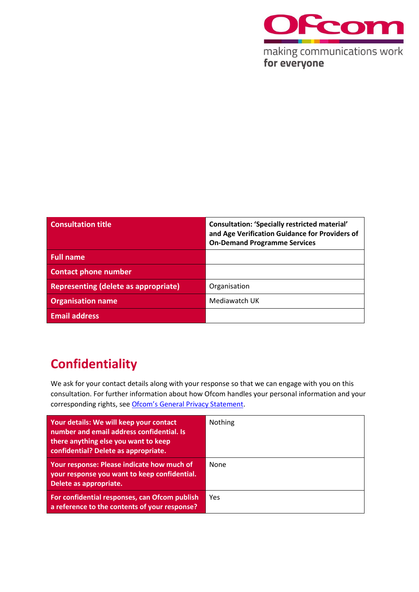

| <b>Consultation title</b>                   | <b>Consultation: 'Specially restricted material'</b><br>and Age Verification Guidance for Providers of<br><b>On-Demand Programme Services</b> |
|---------------------------------------------|-----------------------------------------------------------------------------------------------------------------------------------------------|
| <b>Full name</b>                            |                                                                                                                                               |
| <b>Contact phone number</b>                 |                                                                                                                                               |
| <b>Representing (delete as appropriate)</b> | Organisation                                                                                                                                  |
| <b>Organisation name</b>                    | Mediawatch UK                                                                                                                                 |
| <b>Email address</b>                        |                                                                                                                                               |

## **Confidentiality**

We ask for your contact details along with your response so that we can engage with you on this consultation. For further information about how Ofcom handles your personal information and your corresponding rights, see [Ofcom's General Privacy Statement](http://www.ofcom.org.uk/about-ofcom/foi-dp/general-privacy-statement).

| Your details: We will keep your contact<br>number and email address confidential. Is<br>there anything else you want to keep<br>confidential? Delete as appropriate. | <b>Nothing</b> |
|----------------------------------------------------------------------------------------------------------------------------------------------------------------------|----------------|
| Your response: Please indicate how much of<br>your response you want to keep confidential.<br>Delete as appropriate.                                                 | None           |
| For confidential responses, can Ofcom publish<br>a reference to the contents of your response?                                                                       | Yes            |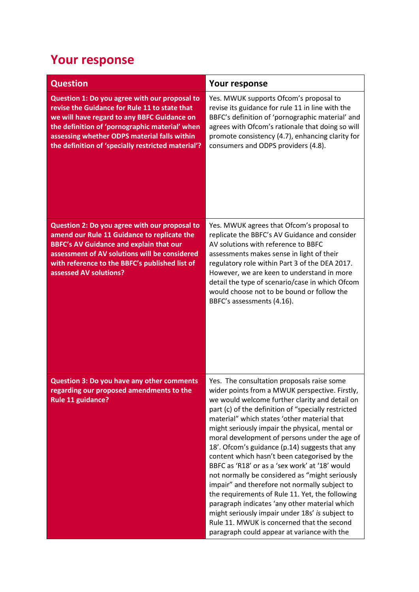## **Your response**

| <b>Question</b>                                                                                                                                                                                                                                                                                       | Your response                                                                                                                                                                                                                                                                                                                                                                                                                                                                                                                                                                                                                                                                                                                                                                                                                                                      |
|-------------------------------------------------------------------------------------------------------------------------------------------------------------------------------------------------------------------------------------------------------------------------------------------------------|--------------------------------------------------------------------------------------------------------------------------------------------------------------------------------------------------------------------------------------------------------------------------------------------------------------------------------------------------------------------------------------------------------------------------------------------------------------------------------------------------------------------------------------------------------------------------------------------------------------------------------------------------------------------------------------------------------------------------------------------------------------------------------------------------------------------------------------------------------------------|
| Question 1: Do you agree with our proposal to<br>revise the Guidance for Rule 11 to state that<br>we will have regard to any BBFC Guidance on<br>the definition of 'pornographic material' when<br>assessing whether ODPS material falls within<br>the definition of 'specially restricted material'? | Yes. MWUK supports Ofcom's proposal to<br>revise its guidance for rule 11 in line with the<br>BBFC's definition of 'pornographic material' and<br>agrees with Ofcom's rationale that doing so will<br>promote consistency (4.7), enhancing clarity for<br>consumers and ODPS providers (4.8).                                                                                                                                                                                                                                                                                                                                                                                                                                                                                                                                                                      |
| Question 2: Do you agree with our proposal to<br>amend our Rule 11 Guidance to replicate the<br><b>BBFC's AV Guidance and explain that our</b><br>assessment of AV solutions will be considered<br>with reference to the BBFC's published list of<br>assessed AV solutions?                           | Yes. MWUK agrees that Ofcom's proposal to<br>replicate the BBFC's AV Guidance and consider<br>AV solutions with reference to BBFC<br>assessments makes sense in light of their<br>regulatory role within Part 3 of the DEA 2017.<br>However, we are keen to understand in more<br>detail the type of scenario/case in which Ofcom<br>would choose not to be bound or follow the<br>BBFC's assessments (4.16).                                                                                                                                                                                                                                                                                                                                                                                                                                                      |
| Question 3: Do you have any other comments<br>regarding our proposed amendments to the<br><b>Rule 11 guidance?</b>                                                                                                                                                                                    | Yes. The consultation proposals raise some<br>wider points from a MWUK perspective. Firstly,<br>we would welcome further clarity and detail on<br>part (c) of the definition of "specially restricted<br>material" which states 'other material that<br>might seriously impair the physical, mental or<br>moral development of persons under the age of<br>18'. Ofcom's guidance (p.14) suggests that any<br>content which hasn't been categorised by the<br>BBFC as 'R18' or as a 'sex work' at '18' would<br>not normally be considered as "might seriously<br>impair" and therefore not normally subject to<br>the requirements of Rule 11. Yet, the following<br>paragraph indicates 'any other material which<br>might seriously impair under 18s' is subject to<br>Rule 11. MWUK is concerned that the second<br>paragraph could appear at variance with the |